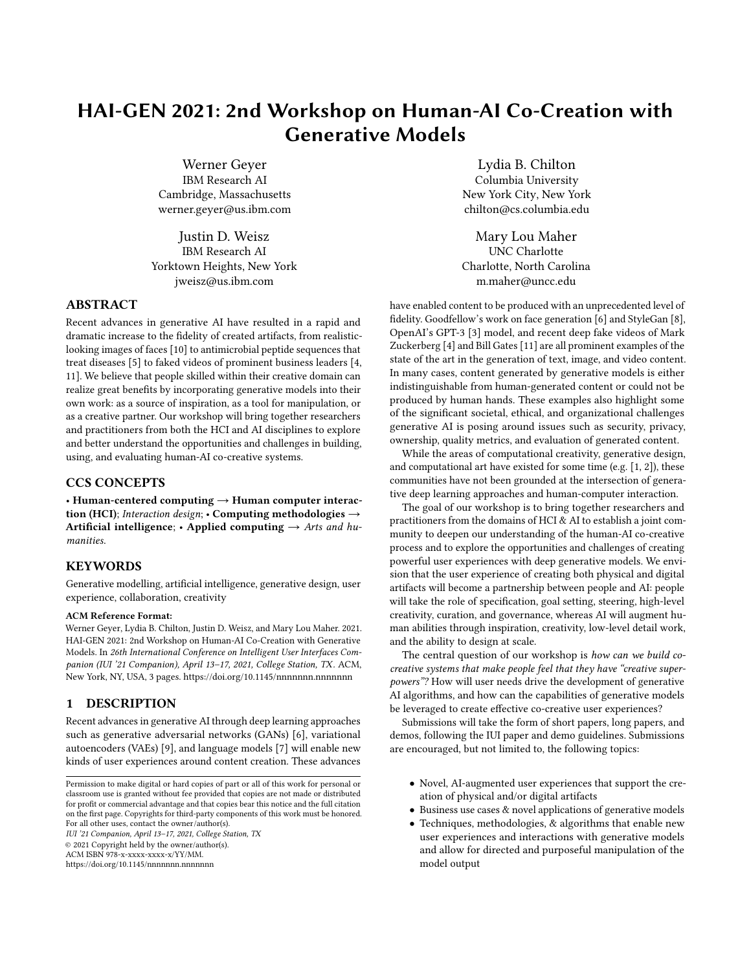# HAI-GEN 2021: 2nd Workshop on Human-AI Co-Creation with Generative Models

Werner Geyer IBM Research AI Cambridge, Massachusetts werner.geyer@us.ibm.com

Justin D. Weisz IBM Research AI Yorktown Heights, New York jweisz@us.ibm.com

# ABSTRACT

Recent advances in generative AI have resulted in a rapid and dramatic increase to the fidelity of created artifacts, from realisticlooking images of faces [\[10\]](#page-2-0) to antimicrobial peptide sequences that treat diseases [\[5\]](#page-2-1) to faked videos of prominent business leaders [\[4,](#page-2-2) [11\]](#page-2-3). We believe that people skilled within their creative domain can realize great benefits by incorporating generative models into their own work: as a source of inspiration, as a tool for manipulation, or as a creative partner. Our workshop will bring together researchers and practitioners from both the HCI and AI disciplines to explore and better understand the opportunities and challenges in building, using, and evaluating human-AI co-creative systems.

# CCS CONCEPTS

• Human-centered computing  $\rightarrow$  Human computer interaction (HCI); Interaction design; • Computing methodologies  $\rightarrow$ Artificial intelligence; • Applied computing  $\rightarrow$  Arts and humanities.

# **KEYWORDS**

Generative modelling, artificial intelligence, generative design, user experience, collaboration, creativity

#### ACM Reference Format:

Werner Geyer, Lydia B. Chilton, Justin D. Weisz, and Mary Lou Maher. 2021. HAI-GEN 2021: 2nd Workshop on Human-AI Co-Creation with Generative Models. In 26th International Conference on Intelligent User Interfaces Companion (IUI '21 Companion), April 13–17, 2021, College Station, TX. ACM, New York, NY, USA, [3](#page-2-4) pages.<https://doi.org/10.1145/nnnnnnn.nnnnnnn>

#### 1 DESCRIPTION

Recent advances in generative AI through deep learning approaches such as generative adversarial networks (GANs) [\[6\]](#page-2-5), variational autoencoders (VAEs) [\[9\]](#page-2-6), and language models [\[7\]](#page-2-7) will enable new kinds of user experiences around content creation. These advances

IUI '21 Companion, April 13–17, 2021, College Station, TX

© 2021 Copyright held by the owner/author(s).

ACM ISBN 978-x-xxxx-xxxx-x/YY/MM.

<https://doi.org/10.1145/nnnnnnn.nnnnnnn>

Lydia B. Chilton Columbia University New York City, New York chilton@cs.columbia.edu

Mary Lou Maher UNC Charlotte Charlotte, North Carolina m.maher@uncc.edu

have enabled content to be produced with an unprecedented level of fidelity. Goodfellow's work on face generation [\[6\]](#page-2-5) and StyleGan [\[8\]](#page-2-8), OpenAI's GPT-3 [\[3\]](#page-2-9) model, and recent deep fake videos of Mark Zuckerberg [\[4\]](#page-2-2) and Bill Gates [\[11\]](#page-2-3) are all prominent examples of the state of the art in the generation of text, image, and video content. In many cases, content generated by generative models is either indistinguishable from human-generated content or could not be produced by human hands. These examples also highlight some of the significant societal, ethical, and organizational challenges generative AI is posing around issues such as security, privacy, ownership, quality metrics, and evaluation of generated content.

While the areas of computational creativity, generative design, and computational art have existed for some time (e.g. [\[1,](#page-2-10) [2\]](#page-2-11)), these communities have not been grounded at the intersection of generative deep learning approaches and human-computer interaction.

The goal of our workshop is to bring together researchers and practitioners from the domains of HCI & AI to establish a joint community to deepen our understanding of the human-AI co-creative process and to explore the opportunities and challenges of creating powerful user experiences with deep generative models. We envision that the user experience of creating both physical and digital artifacts will become a partnership between people and AI: people will take the role of specification, goal setting, steering, high-level creativity, curation, and governance, whereas AI will augment human abilities through inspiration, creativity, low-level detail work, and the ability to design at scale.

The central question of our workshop is how can we build cocreative systems that make people feel that they have "creative superpowers"? How will user needs drive the development of generative AI algorithms, and how can the capabilities of generative models be leveraged to create effective co-creative user experiences?

Submissions will take the form of short papers, long papers, and demos, following the IUI paper and demo guidelines. Submissions are encouraged, but not limited to, the following topics:

- Novel, AI-augmented user experiences that support the creation of physical and/or digital artifacts
- Business use cases & novel applications of generative models
- Techniques, methodologies, & algorithms that enable new user experiences and interactions with generative models and allow for directed and purposeful manipulation of the model output

Permission to make digital or hard copies of part or all of this work for personal or classroom use is granted without fee provided that copies are not made or distributed for profit or commercial advantage and that copies bear this notice and the full citation on the first page. Copyrights for third-party components of this work must be honored. For all other uses, contact the owner/author(s).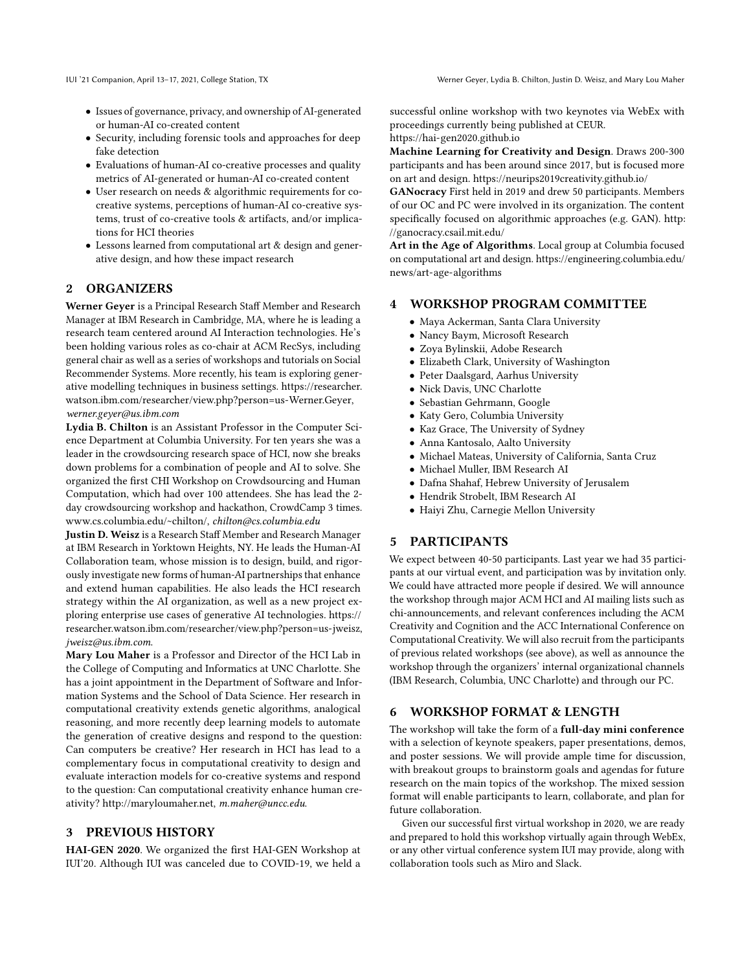- Issues of governance, privacy, and ownership of AI-generated or human-AI co-created content
- Security, including forensic tools and approaches for deep fake detection
- Evaluations of human-AI co-creative processes and quality metrics of AI-generated or human-AI co-created content
- User research on needs & algorithmic requirements for cocreative systems, perceptions of human-AI co-creative systems, trust of co-creative tools & artifacts, and/or implications for HCI theories
- Lessons learned from computational art & design and generative design, and how these impact research

#### 2 ORGANIZERS

Werner Geyer is a Principal Research Staff Member and Research Manager at IBM Research in Cambridge, MA, where he is leading a research team centered around AI Interaction technologies. He's been holding various roles as co-chair at ACM RecSys, including general chair as well as a series of workshops and tutorials on Social Recommender Systems. More recently, his team is exploring generative modelling techniques in business settings. [https://researcher.](https://researcher.watson.ibm.com/researcher/view.php?person=us-Werner.Geyer) [watson.ibm.com/researcher/view.php?person=us-Werner.Geyer,](https://researcher.watson.ibm.com/researcher/view.php?person=us-Werner.Geyer) werner.geyer@us.ibm.com

Lydia B. Chilton is an Assistant Professor in the Computer Science Department at Columbia University. For ten years she was a leader in the crowdsourcing research space of HCI, now she breaks down problems for a combination of people and AI to solve. She organized the first CHI Workshop on Crowdsourcing and Human Computation, which had over 100 attendees. She has lead the 2 day crowdsourcing workshop and hackathon, CrowdCamp 3 times. [www.cs.columbia.edu/~chilton/,](www.cs.columbia.edu/~chilton/) chilton@cs.columbia.edu

Justin D. Weisz is a Research Staff Member and Research Manager at IBM Research in Yorktown Heights, NY. He leads the Human-AI Collaboration team, whose mission is to design, build, and rigorously investigate new forms of human-AI partnerships that enhance and extend human capabilities. He also leads the HCI research strategy within the AI organization, as well as a new project exploring enterprise use cases of generative AI technologies. [https://](https://researcher.watson.ibm.com/researcher/view.php?person=us-jweisz) [researcher.watson.ibm.com/researcher/view.php?person=us-jweisz,](https://researcher.watson.ibm.com/researcher/view.php?person=us-jweisz) jweisz@us.ibm.com.

Mary Lou Maher is a Professor and Director of the HCI Lab in the College of Computing and Informatics at UNC Charlotte. She has a joint appointment in the Department of Software and Information Systems and the School of Data Science. Her research in computational creativity extends genetic algorithms, analogical reasoning, and more recently deep learning models to automate the generation of creative designs and respond to the question: Can computers be creative? Her research in HCI has lead to a complementary focus in computational creativity to design and evaluate interaction models for co-creative systems and respond to the question: Can computational creativity enhance human creativity? [http://maryloumaher.net,](http://maryloumaher.net) m.maher@uncc.edu.

## 3 PREVIOUS HISTORY

HAI-GEN 2020. We organized the first HAI-GEN Workshop at IUI'20. Although IUI was canceled due to COVID-19, we held a successful online workshop with two keynotes via WebEx with proceedings currently being published at CEUR. <https://hai-gen2020.github.io>

Machine Learning for Creativity and Design. Draws 200-300 participants and has been around since 2017, but is focused more on art and design.<https://neurips2019creativity.github.io/>

GANocracy First held in 2019 and drew 50 participants. Members of our OC and PC were involved in its organization. The content specifically focused on algorithmic approaches (e.g. GAN). [http:](http://ganocracy.csail.mit.edu/) [//ganocracy.csail.mit.edu/](http://ganocracy.csail.mit.edu/)

Art in the Age of Algorithms. Local group at Columbia focused on computational art and design. [https://engineering.columbia.edu/](https://engineering.columbia.edu/news/art-age-algorithms) [news/art-age-algorithms](https://engineering.columbia.edu/news/art-age-algorithms)

### 4 WORKSHOP PROGRAM COMMITTEE

- Maya Ackerman, Santa Clara University
- Nancy Baym, Microsoft Research
- Zoya Bylinskii, Adobe Research
- Elizabeth Clark, University of Washington
- Peter Daalsgard, Aarhus University
- Nick Davis, UNC Charlotte
- Sebastian Gehrmann, Google
- Katy Gero, Columbia University
- Kaz Grace, The University of Sydney
- Anna Kantosalo, Aalto University
- Michael Mateas, University of California, Santa Cruz
- Michael Muller, IBM Research AI
- Dafna Shahaf, Hebrew University of Jerusalem
- Hendrik Strobelt, IBM Research AI
- Haiyi Zhu, Carnegie Mellon University

# 5 PARTICIPANTS

We expect between 40-50 participants. Last year we had 35 participants at our virtual event, and participation was by invitation only. We could have attracted more people if desired. We will announce the workshop through major ACM HCI and AI mailing lists such as chi-announcements, and relevant conferences including the ACM Creativity and Cognition and the ACC International Conference on Computational Creativity. We will also recruit from the participants of previous related workshops (see above), as well as announce the workshop through the organizers' internal organizational channels (IBM Research, Columbia, UNC Charlotte) and through our PC.

# 6 WORKSHOP FORMAT & LENGTH

The workshop will take the form of a full-day mini conference with a selection of keynote speakers, paper presentations, demos, and poster sessions. We will provide ample time for discussion, with breakout groups to brainstorm goals and agendas for future research on the main topics of the workshop. The mixed session format will enable participants to learn, collaborate, and plan for future collaboration.

Given our successful first virtual workshop in 2020, we are ready and prepared to hold this workshop virtually again through WebEx, or any other virtual conference system IUI may provide, along with collaboration tools such as Miro and Slack.